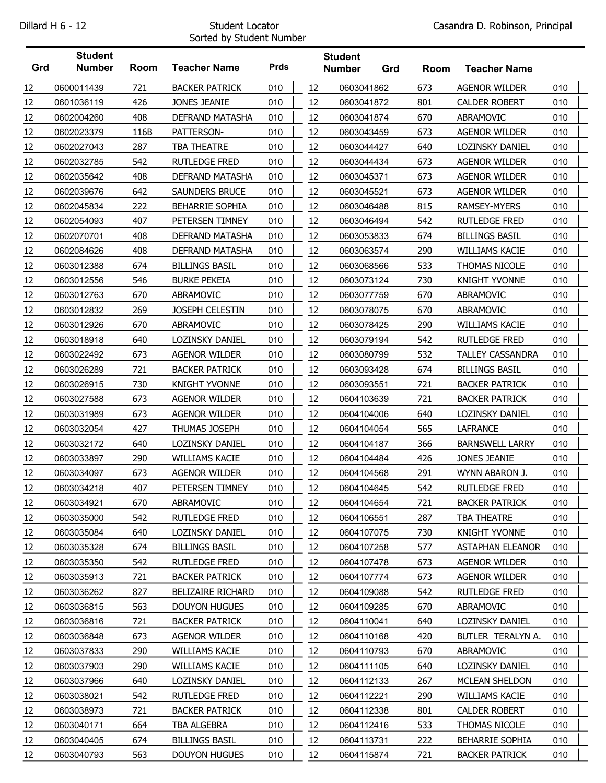## Sorted by Student Number

|     | <b>Student</b> |      |                          |             |    | <b>Student</b> |     |      |                         |     |  |
|-----|----------------|------|--------------------------|-------------|----|----------------|-----|------|-------------------------|-----|--|
| Grd | <b>Number</b>  | Room | <b>Teacher Name</b>      | <b>Prds</b> |    | <b>Number</b>  | Grd | Room | <b>Teacher Name</b>     |     |  |
| 12  | 0600011439     | 721  | <b>BACKER PATRICK</b>    | 010         | 12 | 0603041862     |     | 673  | <b>AGENOR WILDER</b>    | 010 |  |
| 12  | 0601036119     | 426  | <b>JONES JEANIE</b>      | 010         | 12 | 0603041872     |     | 801  | <b>CALDER ROBERT</b>    | 010 |  |
| 12  | 0602004260     | 408  | DEFRAND MATASHA          | 010         | 12 | 0603041874     |     | 670  | ABRAMOVIC               | 010 |  |
| 12  | 0602023379     | 116B | PATTERSON-               | 010         | 12 | 0603043459     |     | 673  | <b>AGENOR WILDER</b>    | 010 |  |
| 12  | 0602027043     | 287  | TBA THEATRE              | 010         | 12 | 0603044427     |     | 640  | LOZINSKY DANIEL         | 010 |  |
| 12  | 0602032785     | 542  | <b>RUTLEDGE FRED</b>     | 010         | 12 | 0603044434     |     | 673  | <b>AGENOR WILDER</b>    | 010 |  |
| 12  | 0602035642     | 408  | DEFRAND MATASHA          | 010         | 12 | 0603045371     |     | 673  | <b>AGENOR WILDER</b>    | 010 |  |
| 12  | 0602039676     | 642  | SAUNDERS BRUCE           | 010         | 12 | 0603045521     |     | 673  | <b>AGENOR WILDER</b>    | 010 |  |
| 12  | 0602045834     | 222  | <b>BEHARRIE SOPHIA</b>   | 010         | 12 | 0603046488     |     | 815  | RAMSEY-MYERS            | 010 |  |
| 12  | 0602054093     | 407  | PETERSEN TIMNEY          | 010         | 12 | 0603046494     |     | 542  | <b>RUTLEDGE FRED</b>    | 010 |  |
| 12  | 0602070701     | 408  | DEFRAND MATASHA          | 010         | 12 | 0603053833     |     | 674  | <b>BILLINGS BASIL</b>   | 010 |  |
| 12  | 0602084626     | 408  | <b>DEFRAND MATASHA</b>   | 010         | 12 | 0603063574     |     | 290  | WILLIAMS KACIE          | 010 |  |
| 12  | 0603012388     | 674  | <b>BILLINGS BASIL</b>    | 010         | 12 | 0603068566     |     | 533  | THOMAS NICOLE           | 010 |  |
| 12  | 0603012556     | 546  | <b>BURKE PEKEIA</b>      | 010         | 12 | 0603073124     |     | 730  | <b>KNIGHT YVONNE</b>    | 010 |  |
| 12  | 0603012763     | 670  | ABRAMOVIC                | 010         | 12 | 0603077759     |     | 670  | ABRAMOVIC               | 010 |  |
| 12  | 0603012832     | 269  | JOSEPH CELESTIN          | 010         | 12 | 0603078075     |     | 670  | ABRAMOVIC               | 010 |  |
| 12  | 0603012926     | 670  | ABRAMOVIC                | 010         | 12 | 0603078425     |     | 290  | <b>WILLIAMS KACIE</b>   | 010 |  |
| 12  | 0603018918     | 640  | LOZINSKY DANIEL          | 010         | 12 | 0603079194     |     | 542  | <b>RUTLEDGE FRED</b>    | 010 |  |
| 12  | 0603022492     | 673  | <b>AGENOR WILDER</b>     | 010         | 12 | 0603080799     |     | 532  | <b>TALLEY CASSANDRA</b> | 010 |  |
| 12  | 0603026289     | 721  | <b>BACKER PATRICK</b>    | 010         | 12 | 0603093428     |     | 674  | <b>BILLINGS BASIL</b>   | 010 |  |
| 12  | 0603026915     | 730  | <b>KNIGHT YVONNE</b>     | 010         | 12 | 0603093551     |     | 721  | <b>BACKER PATRICK</b>   | 010 |  |
| 12  | 0603027588     | 673  | <b>AGENOR WILDER</b>     | 010         | 12 | 0604103639     |     | 721  | <b>BACKER PATRICK</b>   | 010 |  |
| 12  | 0603031989     | 673  | <b>AGENOR WILDER</b>     | 010         | 12 | 0604104006     |     | 640  | LOZINSKY DANIEL         | 010 |  |
| 12  | 0603032054     | 427  | THUMAS JOSEPH            | 010         | 12 | 0604104054     |     | 565  | <b>LAFRANCE</b>         | 010 |  |
| 12  | 0603032172     | 640  | LOZINSKY DANIEL          | 010         | 12 | 0604104187     |     | 366  | <b>BARNSWELL LARRY</b>  | 010 |  |
| 12  | 0603033897     | 290  | <b>WILLIAMS KACIE</b>    | 010         | 12 | 0604104484     |     | 426  | JONES JEANIE            | 010 |  |
| 12  | 0603034097     | 673  | <b>AGENOR WILDER</b>     | 010         | 12 | 0604104568     |     | 291  | WYNN ABARON J.          | 010 |  |
| 12  | 0603034218     | 407  | PETERSEN TIMNEY          | 010         | 12 | 0604104645     |     | 542  | <b>RUTLEDGE FRED</b>    | 010 |  |
| 12  | 0603034921     | 670  | ABRAMOVIC                | 010         | 12 | 0604104654     |     | 721  | <b>BACKER PATRICK</b>   | 010 |  |
| 12  | 0603035000     | 542  | <b>RUTLEDGE FRED</b>     | 010         | 12 | 0604106551     |     | 287  | TBA THEATRE             | 010 |  |
| 12  | 0603035084     | 640  | LOZINSKY DANIEL          | 010         | 12 | 0604107075     |     | 730  | <b>KNIGHT YVONNE</b>    | 010 |  |
| 12  | 0603035328     | 674  | <b>BILLINGS BASIL</b>    | 010         | 12 | 0604107258     |     | 577  | <b>ASTAPHAN ELEANOR</b> | 010 |  |
| 12  | 0603035350     | 542  | <b>RUTLEDGE FRED</b>     | 010         | 12 | 0604107478     |     | 673  | <b>AGENOR WILDER</b>    | 010 |  |
| 12  | 0603035913     | 721  | <b>BACKER PATRICK</b>    | 010         | 12 | 0604107774     |     | 673  | <b>AGENOR WILDER</b>    | 010 |  |
| 12  | 0603036262     | 827  | <b>BELIZAIRE RICHARD</b> | 010         | 12 | 0604109088     |     | 542  | RUTLEDGE FRED           | 010 |  |
| 12  | 0603036815     | 563  | <b>DOUYON HUGUES</b>     | 010         | 12 | 0604109285     |     | 670  | ABRAMOVIC               | 010 |  |
| 12  | 0603036816     | 721  | <b>BACKER PATRICK</b>    | 010         | 12 | 0604110041     |     | 640  | LOZINSKY DANIEL         | 010 |  |
| 12  | 0603036848     | 673  | <b>AGENOR WILDER</b>     | 010         | 12 | 0604110168     |     | 420  | BUTLER TERALYN A.       | 010 |  |
| 12  | 0603037833     | 290  | WILLIAMS KACIE           | 010         | 12 | 0604110793     |     | 670  | ABRAMOVIC               | 010 |  |
| 12  | 0603037903     | 290  | WILLIAMS KACIE           | 010         | 12 | 0604111105     |     | 640  | LOZINSKY DANIEL         | 010 |  |
| 12  | 0603037966     | 640  | LOZINSKY DANIEL          | 010         | 12 | 0604112133     |     | 267  | MCLEAN SHELDON          | 010 |  |
| 12  | 0603038021     | 542  | <b>RUTLEDGE FRED</b>     | 010         | 12 | 0604112221     |     | 290  | WILLIAMS KACIE          | 010 |  |
| 12  | 0603038973     | 721  | <b>BACKER PATRICK</b>    | 010         | 12 | 0604112338     |     | 801  | <b>CALDER ROBERT</b>    | 010 |  |
| 12  | 0603040171     | 664  | TBA ALGEBRA              | 010         | 12 | 0604112416     |     | 533  | THOMAS NICOLE           | 010 |  |
| 12  | 0603040405     | 674  | <b>BILLINGS BASIL</b>    | 010         | 12 | 0604113731     |     | 222  | BEHARRIE SOPHIA         | 010 |  |
| 12  | 0603040793     | 563  | <b>DOUYON HUGUES</b>     | 010         | 12 | 0604115874     |     | 721  | <b>BACKER PATRICK</b>   | 010 |  |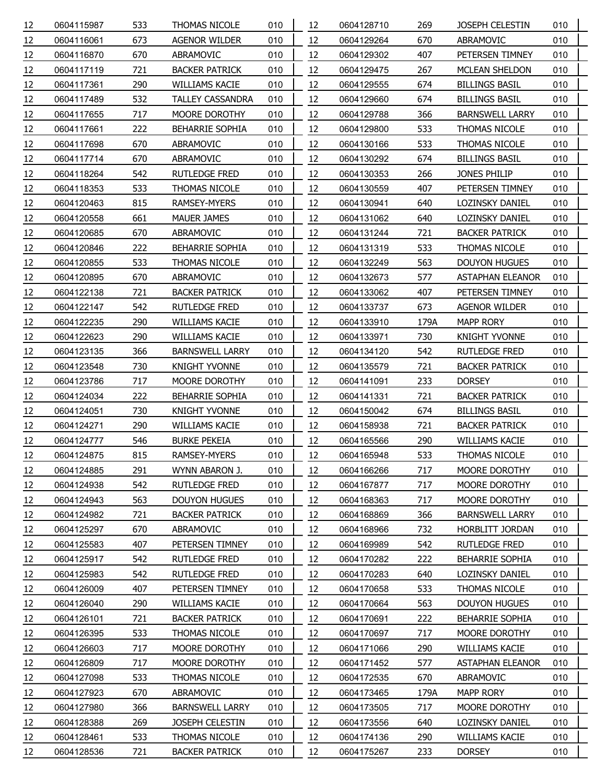| 12 | 0604115987 | 533 | THOMAS NICOLE           | 010 | 12 | 0604128710 | 269  | <b>JOSEPH CELESTIN</b>  | 010 |
|----|------------|-----|-------------------------|-----|----|------------|------|-------------------------|-----|
| 12 | 0604116061 | 673 | <b>AGENOR WILDER</b>    | 010 | 12 | 0604129264 | 670  | ABRAMOVIC               | 010 |
| 12 | 0604116870 | 670 | ABRAMOVIC               | 010 | 12 | 0604129302 | 407  | PETERSEN TIMNEY         | 010 |
| 12 | 0604117119 | 721 | <b>BACKER PATRICK</b>   | 010 | 12 | 0604129475 | 267  | MCLEAN SHELDON          | 010 |
| 12 | 0604117361 | 290 | <b>WILLIAMS KACIE</b>   | 010 | 12 | 0604129555 | 674  | <b>BILLINGS BASIL</b>   | 010 |
| 12 | 0604117489 | 532 | <b>TALLEY CASSANDRA</b> | 010 | 12 | 0604129660 | 674  | <b>BILLINGS BASIL</b>   | 010 |
| 12 | 0604117655 | 717 | MOORE DOROTHY           | 010 | 12 | 0604129788 | 366  | <b>BARNSWELL LARRY</b>  | 010 |
| 12 | 0604117661 | 222 | BEHARRIE SOPHIA         | 010 | 12 | 0604129800 | 533  | THOMAS NICOLE           | 010 |
| 12 | 0604117698 | 670 | ABRAMOVIC               | 010 | 12 | 0604130166 | 533  | THOMAS NICOLE           | 010 |
| 12 | 0604117714 | 670 | ABRAMOVIC               | 010 | 12 | 0604130292 | 674  | <b>BILLINGS BASIL</b>   | 010 |
| 12 | 0604118264 | 542 | RUTLEDGE FRED           | 010 | 12 | 0604130353 | 266  | JONES PHILIP            | 010 |
| 12 | 0604118353 | 533 | THOMAS NICOLE           | 010 | 12 | 0604130559 | 407  | PETERSEN TIMNEY         | 010 |
| 12 | 0604120463 | 815 | RAMSEY-MYERS            | 010 | 12 | 0604130941 | 640  | LOZINSKY DANIEL         | 010 |
| 12 | 0604120558 | 661 | MAUER JAMES             | 010 | 12 | 0604131062 | 640  | LOZINSKY DANIEL         | 010 |
| 12 | 0604120685 | 670 | ABRAMOVIC               | 010 | 12 | 0604131244 | 721  | <b>BACKER PATRICK</b>   | 010 |
| 12 | 0604120846 | 222 | BEHARRIE SOPHIA         | 010 | 12 | 0604131319 | 533  | THOMAS NICOLE           | 010 |
| 12 | 0604120855 | 533 | THOMAS NICOLE           | 010 | 12 | 0604132249 | 563  | <b>DOUYON HUGUES</b>    | 010 |
| 12 | 0604120895 | 670 | ABRAMOVIC               | 010 | 12 | 0604132673 | 577  | <b>ASTAPHAN ELEANOR</b> | 010 |
| 12 | 0604122138 | 721 | <b>BACKER PATRICK</b>   | 010 | 12 | 0604133062 | 407  | PETERSEN TIMNEY         | 010 |
| 12 | 0604122147 | 542 | <b>RUTLEDGE FRED</b>    | 010 | 12 | 0604133737 | 673  | <b>AGENOR WILDER</b>    | 010 |
| 12 | 0604122235 | 290 | <b>WILLIAMS KACIE</b>   | 010 | 12 | 0604133910 | 179A | <b>MAPP RORY</b>        | 010 |
| 12 | 0604122623 | 290 | WILLIAMS KACIE          | 010 | 12 | 0604133971 | 730  | <b>KNIGHT YVONNE</b>    | 010 |
| 12 | 0604123135 | 366 | <b>BARNSWELL LARRY</b>  | 010 | 12 | 0604134120 | 542  | RUTLEDGE FRED           | 010 |
| 12 | 0604123548 | 730 | <b>KNIGHT YVONNE</b>    | 010 | 12 | 0604135579 | 721  | <b>BACKER PATRICK</b>   | 010 |
| 12 | 0604123786 | 717 | MOORE DOROTHY           | 010 | 12 | 0604141091 | 233  | <b>DORSEY</b>           | 010 |
| 12 | 0604124034 | 222 | BEHARRIE SOPHIA         | 010 | 12 | 0604141331 | 721  | <b>BACKER PATRICK</b>   | 010 |
| 12 | 0604124051 | 730 | <b>KNIGHT YVONNE</b>    | 010 | 12 | 0604150042 | 674  | <b>BILLINGS BASIL</b>   | 010 |
| 12 | 0604124271 | 290 | WILLIAMS KACIE          | 010 | 12 | 0604158938 | 721  | <b>BACKER PATRICK</b>   | 010 |
| 12 | 0604124777 | 546 | <b>BURKE PEKEIA</b>     | 010 | 12 | 0604165566 | 290  | WILLIAMS KACIE          | 010 |
| 12 | 0604124875 | 815 | RAMSEY-MYERS            | 010 | 12 | 0604165948 | 533  | THOMAS NICOLE           | 010 |
| 12 | 0604124885 | 291 | WYNN ABARON J.          | 010 | 12 | 0604166266 | 717  | MOORE DOROTHY           | 010 |
| 12 | 0604124938 | 542 | <b>RUTLEDGE FRED</b>    | 010 | 12 | 0604167877 | 717  | MOORE DOROTHY           | 010 |
| 12 | 0604124943 | 563 | <b>DOUYON HUGUES</b>    | 010 | 12 | 0604168363 | 717  | MOORE DOROTHY           | 010 |
| 12 | 0604124982 | 721 | <b>BACKER PATRICK</b>   | 010 | 12 | 0604168869 | 366  | <b>BARNSWELL LARRY</b>  | 010 |
| 12 | 0604125297 | 670 | ABRAMOVIC               | 010 | 12 | 0604168966 | 732  | HORBLITT JORDAN         | 010 |
| 12 | 0604125583 | 407 | PETERSEN TIMNEY         | 010 | 12 | 0604169989 | 542  | <b>RUTLEDGE FRED</b>    | 010 |
| 12 | 0604125917 | 542 | RUTLEDGE FRED           | 010 | 12 | 0604170282 | 222  | <b>BEHARRIE SOPHIA</b>  | 010 |
| 12 | 0604125983 | 542 | <b>RUTLEDGE FRED</b>    | 010 | 12 | 0604170283 | 640  | LOZINSKY DANIEL         | 010 |
| 12 | 0604126009 | 407 | PETERSEN TIMNEY         | 010 | 12 | 0604170658 | 533  | THOMAS NICOLE           | 010 |
| 12 | 0604126040 | 290 | WILLIAMS KACIE          | 010 | 12 | 0604170664 | 563  | <b>DOUYON HUGUES</b>    | 010 |
| 12 | 0604126101 | 721 | <b>BACKER PATRICK</b>   | 010 | 12 | 0604170691 | 222  | <b>BEHARRIE SOPHIA</b>  | 010 |
| 12 | 0604126395 | 533 | THOMAS NICOLE           | 010 | 12 | 0604170697 | 717  | MOORE DOROTHY           | 010 |
| 12 | 0604126603 | 717 | MOORE DOROTHY           | 010 | 12 | 0604171066 | 290  | WILLIAMS KACIE          | 010 |
| 12 | 0604126809 | 717 | MOORE DOROTHY           | 010 | 12 | 0604171452 | 577  | <b>ASTAPHAN ELEANOR</b> | 010 |
| 12 | 0604127098 | 533 | THOMAS NICOLE           | 010 | 12 | 0604172535 | 670  | ABRAMOVIC               | 010 |
| 12 | 0604127923 | 670 | ABRAMOVIC               | 010 | 12 | 0604173465 | 179A | MAPP RORY               | 010 |
| 12 | 0604127980 | 366 | <b>BARNSWELL LARRY</b>  | 010 | 12 | 0604173505 | 717  | MOORE DOROTHY           | 010 |
| 12 | 0604128388 | 269 | JOSEPH CELESTIN         | 010 | 12 | 0604173556 | 640  | LOZINSKY DANIEL         | 010 |
| 12 | 0604128461 | 533 | THOMAS NICOLE           | 010 | 12 | 0604174136 | 290  | <b>WILLIAMS KACIE</b>   | 010 |
| 12 | 0604128536 | 721 | <b>BACKER PATRICK</b>   | 010 | 12 | 0604175267 | 233  | <b>DORSEY</b>           | 010 |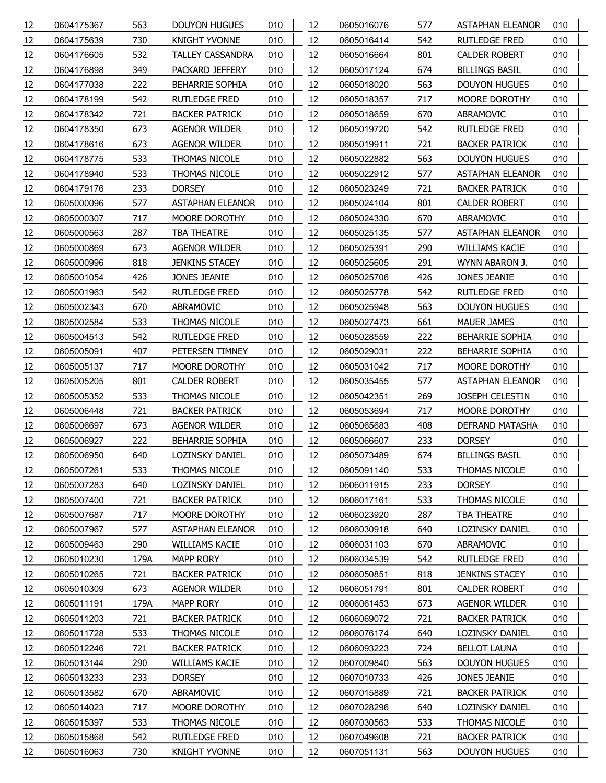| 12 | 0604175367 | 563  | <b>DOUYON HUGUES</b>    | 010 | 12 | 0605016076 | 577 | <b>ASTAPHAN ELEANOR</b> | 010 |
|----|------------|------|-------------------------|-----|----|------------|-----|-------------------------|-----|
| 12 | 0604175639 | 730  | <b>KNIGHT YVONNE</b>    | 010 | 12 | 0605016414 | 542 | <b>RUTLEDGE FRED</b>    | 010 |
| 12 | 0604176605 | 532  | <b>TALLEY CASSANDRA</b> | 010 | 12 | 0605016664 | 801 | CALDER ROBERT           | 010 |
| 12 | 0604176898 | 349  | PACKARD JEFFERY         | 010 | 12 | 0605017124 | 674 | <b>BILLINGS BASIL</b>   | 010 |
| 12 | 0604177038 | 222  | <b>BEHARRIE SOPHIA</b>  | 010 | 12 | 0605018020 | 563 | <b>DOUYON HUGUES</b>    | 010 |
| 12 | 0604178199 | 542  | <b>RUTLEDGE FRED</b>    | 010 | 12 | 0605018357 | 717 | MOORE DOROTHY           | 010 |
| 12 | 0604178342 | 721  | <b>BACKER PATRICK</b>   | 010 | 12 | 0605018659 | 670 | ABRAMOVIC               | 010 |
| 12 | 0604178350 | 673  | <b>AGENOR WILDER</b>    | 010 | 12 | 0605019720 | 542 | RUTLEDGE FRED           | 010 |
| 12 | 0604178616 | 673  | <b>AGENOR WILDER</b>    | 010 | 12 | 0605019911 | 721 | <b>BACKER PATRICK</b>   | 010 |
| 12 | 0604178775 | 533  | THOMAS NICOLE           | 010 | 12 | 0605022882 | 563 | <b>DOUYON HUGUES</b>    | 010 |
| 12 | 0604178940 | 533  | <b>THOMAS NICOLE</b>    | 010 | 12 | 0605022912 | 577 | <b>ASTAPHAN ELEANOR</b> | 010 |
| 12 | 0604179176 | 233  | <b>DORSEY</b>           | 010 | 12 | 0605023249 | 721 | <b>BACKER PATRICK</b>   | 010 |
| 12 | 0605000096 | 577  | <b>ASTAPHAN ELEANOR</b> | 010 | 12 | 0605024104 | 801 | <b>CALDER ROBERT</b>    | 010 |
| 12 | 0605000307 | 717  | MOORE DOROTHY           | 010 | 12 | 0605024330 | 670 | ABRAMOVIC               | 010 |
| 12 | 0605000563 | 287  | <b>TBA THEATRE</b>      | 010 | 12 | 0605025135 | 577 | <b>ASTAPHAN ELEANOR</b> | 010 |
| 12 | 0605000869 | 673  | AGENOR WILDER           | 010 | 12 | 0605025391 | 290 | <b>WILLIAMS KACIE</b>   | 010 |
| 12 | 0605000996 | 818  | <b>JENKINS STACEY</b>   | 010 | 12 | 0605025605 | 291 | WYNN ABARON J.          | 010 |
| 12 | 0605001054 | 426  | JONES JEANIE            | 010 | 12 | 0605025706 | 426 | JONES JEANIE            | 010 |
| 12 | 0605001963 | 542  | <b>RUTLEDGE FRED</b>    | 010 | 12 | 0605025778 | 542 | RUTLEDGE FRED           | 010 |
| 12 | 0605002343 | 670  | ABRAMOVIC               | 010 | 12 | 0605025948 | 563 | <b>DOUYON HUGUES</b>    | 010 |
| 12 | 0605002584 | 533  | THOMAS NICOLE           | 010 | 12 | 0605027473 | 661 | <b>MAUER JAMES</b>      | 010 |
| 12 | 0605004513 | 542  | <b>RUTLEDGE FRED</b>    | 010 | 12 | 0605028559 | 222 | BEHARRIE SOPHIA         | 010 |
| 12 | 0605005091 | 407  | PETERSEN TIMNEY         | 010 | 12 | 0605029031 | 222 | <b>BEHARRIE SOPHIA</b>  | 010 |
| 12 | 0605005137 | 717  | MOORE DOROTHY           | 010 | 12 | 0605031042 | 717 | MOORE DOROTHY           | 010 |
| 12 | 0605005205 | 801  | <b>CALDER ROBERT</b>    | 010 | 12 | 0605035455 | 577 | ASTAPHAN ELEANOR        | 010 |
| 12 | 0605005352 | 533  | THOMAS NICOLE           | 010 | 12 | 0605042351 | 269 | JOSEPH CELESTIN         | 010 |
| 12 | 0605006448 | 721  | <b>BACKER PATRICK</b>   | 010 | 12 | 0605053694 | 717 | MOORE DOROTHY           | 010 |
| 12 | 0605006697 | 673  | AGENOR WILDER           | 010 | 12 | 0605065683 | 408 | DEFRAND MATASHA         | 010 |
| 12 | 0605006927 | 222  | <b>BEHARRIE SOPHIA</b>  | 010 | 12 | 0605066607 | 233 | <b>DORSEY</b>           | 010 |
| 12 | 0605006950 | 640  | <b>LOZINSKY DANIEL</b>  | 010 | 12 | 0605073489 | 674 | <b>BILLINGS BASIL</b>   | 010 |
| 12 | 0605007261 | 533  | THOMAS NICOLE           | 010 | 12 | 0605091140 | 533 | THOMAS NICOLE           | 010 |
| 12 | 0605007283 | 640  | LOZINSKY DANIEL         | 010 | 12 | 0606011915 | 233 | <b>DORSEY</b>           | 010 |
| 12 | 0605007400 | 721  | <b>BACKER PATRICK</b>   | 010 | 12 | 0606017161 | 533 | THOMAS NICOLE           | 010 |
| 12 | 0605007687 | 717  | MOORE DOROTHY           | 010 | 12 | 0606023920 | 287 | TBA THEATRE             | 010 |
| 12 | 0605007967 | 577  | <b>ASTAPHAN ELEANOR</b> | 010 | 12 | 0606030918 | 640 | LOZINSKY DANIEL         | 010 |
| 12 | 0605009463 | 290  | <b>WILLIAMS KACIE</b>   | 010 | 12 | 0606031103 | 670 | ABRAMOVIC               | 010 |
| 12 | 0605010230 | 179A | MAPP RORY               | 010 | 12 | 0606034539 | 542 | RUTLEDGE FRED           | 010 |
| 12 | 0605010265 | 721  | <b>BACKER PATRICK</b>   | 010 | 12 | 0606050851 | 818 | <b>JENKINS STACEY</b>   | 010 |
| 12 | 0605010309 | 673  | <b>AGENOR WILDER</b>    | 010 | 12 | 0606051791 | 801 | <b>CALDER ROBERT</b>    | 010 |
| 12 | 0605011191 | 179A | MAPP RORY               | 010 | 12 | 0606061453 | 673 | <b>AGENOR WILDER</b>    | 010 |
| 12 | 0605011203 | 721  | <b>BACKER PATRICK</b>   | 010 | 12 | 0606069072 | 721 | <b>BACKER PATRICK</b>   | 010 |
| 12 | 0605011728 | 533  | THOMAS NICOLE           | 010 | 12 | 0606076174 | 640 | LOZINSKY DANIEL         | 010 |
| 12 | 0605012246 | 721  | <b>BACKER PATRICK</b>   | 010 | 12 | 0606093223 | 724 | <b>BELLOT LAUNA</b>     | 010 |
| 12 | 0605013144 | 290  | <b>WILLIAMS KACIE</b>   | 010 | 12 | 0607009840 | 563 | <b>DOUYON HUGUES</b>    | 010 |
| 12 | 0605013233 | 233  | <b>DORSEY</b>           | 010 | 12 | 0607010733 | 426 | JONES JEANIE            | 010 |
| 12 | 0605013582 | 670  | ABRAMOVIC               | 010 | 12 | 0607015889 | 721 | <b>BACKER PATRICK</b>   | 010 |
| 12 | 0605014023 | 717  | MOORE DOROTHY           | 010 | 12 | 0607028296 | 640 | LOZINSKY DANIEL         | 010 |
| 12 | 0605015397 | 533  | THOMAS NICOLE           | 010 | 12 | 0607030563 | 533 | THOMAS NICOLE           | 010 |
| 12 | 0605015868 | 542  | RUTLEDGE FRED           | 010 | 12 | 0607049608 | 721 | <b>BACKER PATRICK</b>   | 010 |
| 12 | 0605016063 | 730  | <b>KNIGHT YVONNE</b>    | 010 | 12 | 0607051131 | 563 | <b>DOUYON HUGUES</b>    | 010 |